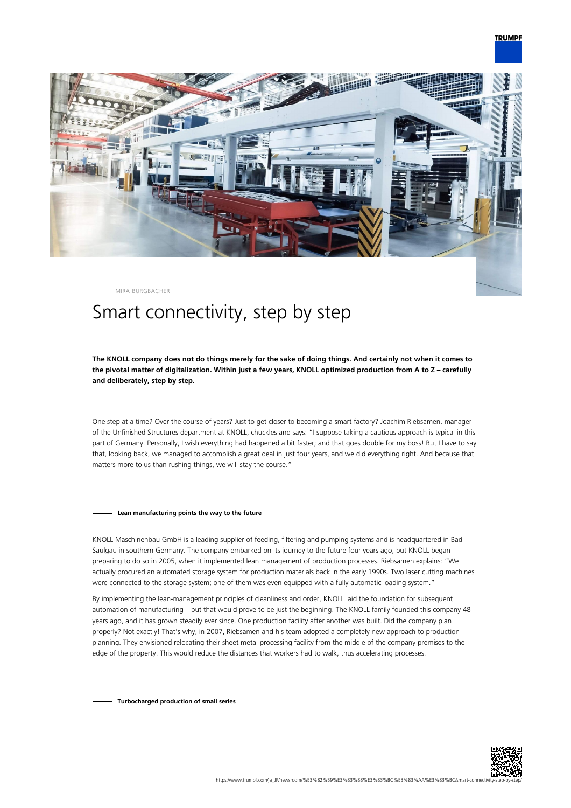

MIRA BURGBACHER

# Smart connectivity, step by step

# **The KNOLL company does not do things merely for the sake of doing things. And certainly not when it comes to the pivotal matter of digitalization. Within just a few years, KNOLL optimized production from A to Z – carefully and deliberately, step by step.**

One step at a time? Over the course of years? Just to get closer to becoming a smart factory? Joachim Riebsamen, manager of the Unfinished Structures department at KNOLL, chuckles and says: "I suppose taking a cautious approach is typical in this part of Germany. Personally, I wish everything had happened a bit faster; and that goes double for my boss! But I have to say that, looking back, we managed to accomplish a great deal in just four years, and we did everything right. And because that matters more to us than rushing things, we will stay the course."

#### **Lean manufacturing points the way to the future**

KNOLL Maschinenbau GmbH is a leading supplier of feeding, filtering and pumping systems and is headquartered in Bad Saulgau in southern Germany. The company embarked on its journey to the future four years ago, but KNOLL began preparing to do so in 2005, when it implemented lean management of production processes. Riebsamen explains: "We actually procured an automated storage system for production materials back in the early 1990s. Two laser cutting machines were connected to the storage system; one of them was even equipped with a fully automatic loading system."

By implementing the lean-management principles of cleanliness and order, KNOLL laid the foundation for subsequent automation of manufacturing – but that would prove to be just the beginning. The KNOLL family founded this company 48 years ago, and it has grown steadily ever since. One production facility after another was built. Did the company plan properly? Not exactly! That's why, in 2007, Riebsamen and his team adopted a completely new approach to production planning. They envisioned relocating their sheet metal processing facility from the middle of the company premises to the edge of the property. This would reduce the distances that workers had to walk, thus accelerating processes.

**Turbocharged production of small series**

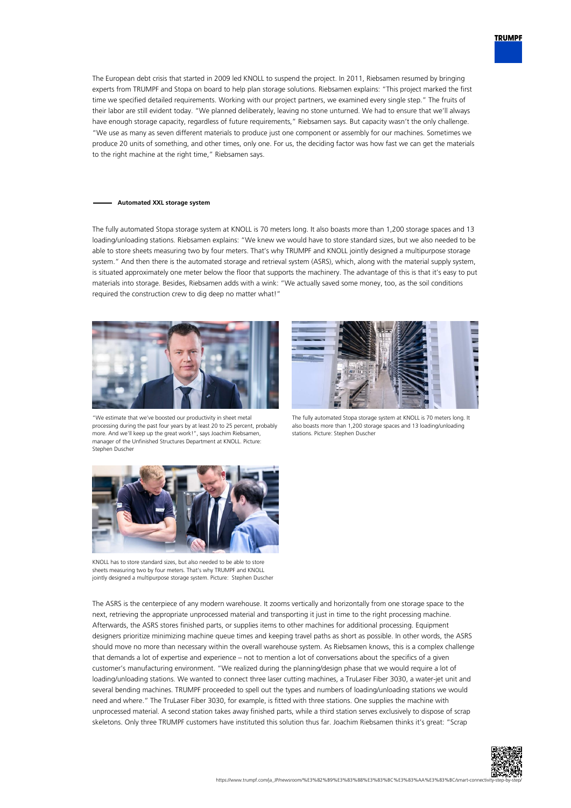

The European debt crisis that started in 2009 led KNOLL to suspend the project. In 2011, Riebsamen resumed by bringing experts from TRUMPF and Stopa on board to help plan storage solutions. Riebsamen explains: "This project marked the first time we specified detailed requirements. Working with our project partners, we examined every single step." The fruits of their labor are still evident today. "We planned deliberately, leaving no stone unturned. We had to ensure that we'll always have enough storage capacity, regardless of future requirements," Riebsamen says. But capacity wasn't the only challenge. "We use as many as seven different materials to produce just one component or assembly for our machines. Sometimes we produce 20 units of something, and other times, only one. For us, the deciding factor was how fast we can get the materials to the right machine at the right time," Riebsamen says.

## **Automated XXL storage system**

The fully automated Stopa storage system at KNOLL is 70 meters long. It also boasts more than 1,200 storage spaces and 13 loading/unloading stations. Riebsamen explains: "We knew we would have to store standard sizes, but we also needed to be able to store sheets measuring two by four meters. That's why TRUMPF and KNOLL jointly designed a multipurpose storage system." And then there is the automated storage and retrieval system (ASRS), which, along with the material supply system, is situated approximately one meter below the floor that supports the machinery. The advantage of this is that it's easy to put materials into storage. Besides, Riebsamen adds with a wink: "We actually saved some money, too, as the soil conditions required the construction crew to dig deep no matter what!"



"We estimate that we've boosted our productivity in sheet metal processing during the past four years by at least 20 to 25 percent, probably more. And we'll keep up the great work!", says Joachim Riebsamen, manager of the Unfinished Structures Department at KNOLL. Picture: Stephen Duscher



The fully automated Stopa storage system at KNOLL is 70 meters long. It also boasts more than 1,200 storage spaces and 13 loading/unloading stations. Picture: Stephen Duscher



KNOLL has to store standard sizes, but also needed to be able to store sheets measuring two by four meters. That's why TRUMPF and KNOLL jointly designed a multipurpose storage system. Picture: Stephen Duscher

The ASRS is the centerpiece of any modern warehouse. It zooms vertically and horizontally from one storage space to the next, retrieving the appropriate unprocessed material and transporting it just in time to the right processing machine. Afterwards, the ASRS stores finished parts, or supplies items to other machines for additional processing. Equipment designers prioritize minimizing machine queue times and keeping travel paths as short as possible. In other words, the ASRS should move no more than necessary within the overall warehouse system. As Riebsamen knows, this is a complex challenge that demands a lot of expertise and experience – not to mention a lot of conversations about the specifics of a given customer's manufacturing environment. "We realized during the planning/design phase that we would require a lot of loading/unloading stations. We wanted to connect three laser cutting machines, a TruLaser Fiber 3030, a water-jet unit and several bending machines. TRUMPF proceeded to spell out the types and numbers of loading/unloading stations we would need and where." The TruLaser Fiber 3030, for example, is fitted with three stations. One supplies the machine with unprocessed material. A second station takes away finished parts, while a third station serves exclusively to dispose of scrap skeletons. Only three TRUMPF customers have instituted this solution thus far. Joachim Riebsamen thinks it's great: "Scrap

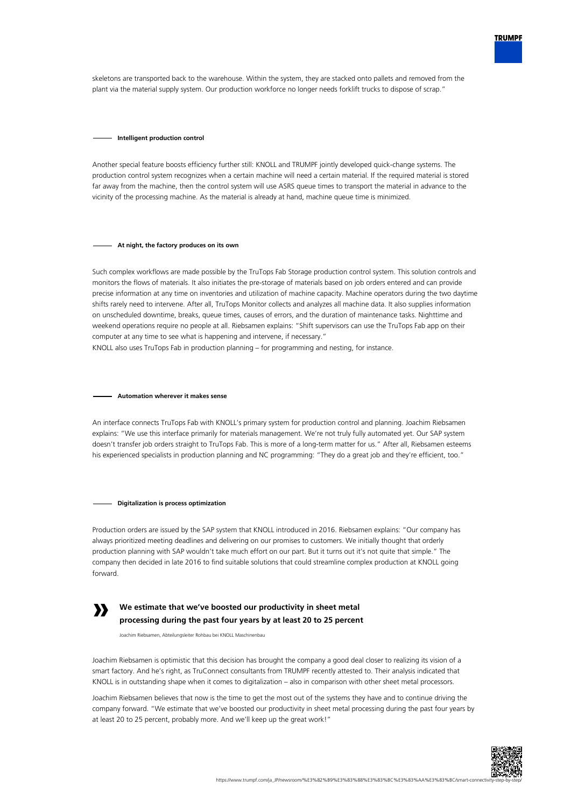

skeletons are transported back to the warehouse. Within the system, they are stacked onto pallets and removed from the plant via the material supply system. Our production workforce no longer needs forklift trucks to dispose of scrap."

#### **Intelligent production control**

Another special feature boosts efficiency further still: KNOLL and TRUMPF jointly developed quick-change systems. The production control system recognizes when a certain machine will need a certain material. If the required material is stored far away from the machine, then the control system will use ASRS queue times to transport the material in advance to the vicinity of the processing machine. As the material is already at hand, machine queue time is minimized.

## **At night, the factory produces on its own**

Such complex workflows are made possible by the TruTops Fab Storage production control system. This solution controls and monitors the flows of materials. It also initiates the pre-storage of materials based on job orders entered and can provide precise information at any time on inventories and utilization of machine capacity. Machine operators during the two daytime shifts rarely need to intervene. After all, TruTops Monitor collects and analyzes all machine data. It also supplies information on unscheduled downtime, breaks, queue times, causes of errors, and the duration of maintenance tasks. Nighttime and weekend operations require no people at all. Riebsamen explains: "Shift supervisors can use the TruTops Fab app on their computer at any time to see what is happening and intervene, if necessary."

KNOLL also uses TruTops Fab in production planning – for programming and nesting, for instance.

## **Automation wherever it makes sense**

An interface connects TruTops Fab with KNOLL's primary system for production control and planning. Joachim Riebsamen explains: "We use this interface primarily for materials management. We're not truly fully automated yet. Our SAP system doesn't transfer job orders straight to TruTops Fab. This is more of a long-term matter for us." After all, Riebsamen esteems his experienced specialists in production planning and NC programming: "They do a great job and they're efficient, too."

#### **Digitalization is process optimization**

Production orders are issued by the SAP system that KNOLL introduced in 2016. Riebsamen explains: "Our company has always prioritized meeting deadlines and delivering on our promises to customers. We initially thought that orderly production planning with SAP wouldn't take much effort on our part. But it turns out it's not quite that simple." The company then decided in late 2016 to find suitable solutions that could streamline complex production at KNOLL going forward.



# **We estimate that we've boosted our productivity in sheet metal processing during the past four years by at least 20 to 25 percent**

Joachim Riebsamen, Abteilungsleiter Rohbau bei KNOLL Maschinenbau

Joachim Riebsamen is optimistic that this decision has brought the company a good deal closer to realizing its vision of a smart factory. And he's right, as TruConnect consultants from TRUMPF recently attested to. Their analysis indicated that KNOLL is in outstanding shape when it comes to digitalization – also in comparison with other sheet metal processors.

Joachim Riebsamen believes that now is the time to get the most out of the systems they have and to continue driving the company forward. "We estimate that we've boosted our productivity in sheet metal processing during the past four years by at least 20 to 25 percent, probably more. And we'll keep up the great work!"